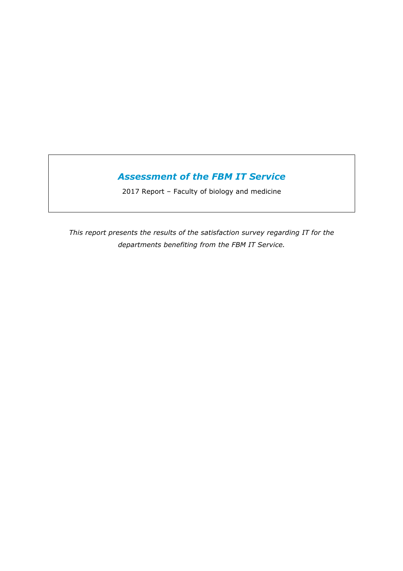# *Assessment of the FBM IT Service*

2017 Report – Faculty of biology and medicine

*This report presents the results of the satisfaction survey regarding IT for the departments benefiting from the FBM IT Service.*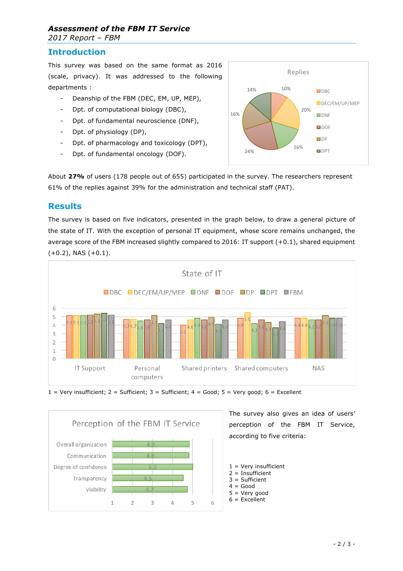#### *Assessment of the FBM IT Service 2017 Report – FBM*

## **Introduction**

This survey was based on the same format as 2016 (scale, privacy). It was addressed to the following departments :

- Deanship of the FBM (DEC, EM, UP, MEP),
- Dpt. of computational biology (DBC),
- Dpt. of fundamental neuroscience (DNF),
- Dpt. of physiology (DP),
- Dpt. of pharmacology and toxicology (DPT),
- Dpt. of fundamental oncology (DOF).



About **27%** of users (178 people out of 655) participated in the survey. The researchers represent 61% of the replies against 39% for the administration and technical staff (PAT).

### **Results**

The survey is based on five indicators, presented in the graph below, to draw a general picture of the state of IT. With the exception of personal IT equipment, whose score remains unchanged, the average score of the FBM increased slightly compared to 2016: IT support  $(+0.1)$ , shared equipment  $(+0.2)$ , NAS  $(+0.1)$ .







The survey also gives an idea of users' perception of the FBM IT Service, according to five criteria:

 $1 =$  Very insufficient  $2 =$  Insufficient

- 3 = Sufficient
- $4 =$  Good
- $5 =$  Very good
- $6 =$  Excellent